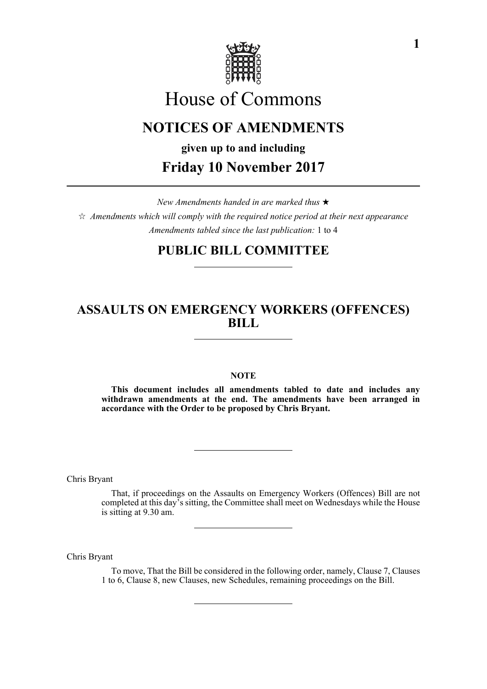

# House of Commons

# **NOTICES OF AMENDMENTS**

**given up to and including Friday 10 November 2017**

*New Amendments handed in are marked thus*   $\hat{\varphi}$  Amendments which will comply with the required notice period at their next appearance *Amendments tabled since the last publication:* 1 to 4

# **PUBLIC BILL COMMITTEE**

# **ASSAULTS ON EMERGENCY WORKERS (OFFENCES) BILL**

# **NOTE**

**This document includes all amendments tabled to date and includes any withdrawn amendments at the end. The amendments have been arranged in accordance with the Order to be proposed by Chris Bryant.**

Chris Bryant

That, if proceedings on the Assaults on Emergency Workers (Offences) Bill are not completed at this day's sitting, the Committee shall meet on Wednesdays while the House is sitting at 9.30 am.

Chris Bryant

To move, That the Bill be considered in the following order, namely, Clause 7, Clauses 1 to 6, Clause 8, new Clauses, new Schedules, remaining proceedings on the Bill.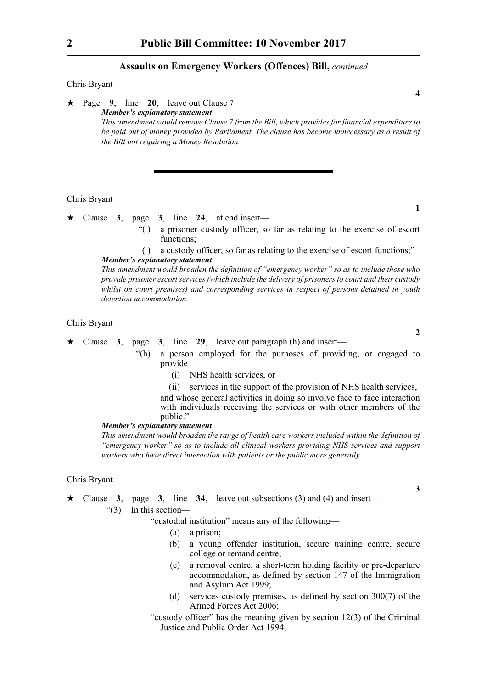### **Assaults on Emergency Workers (Offences) Bill,** *continued*

### Chris Bryant

 Page **9**, line **20**, leave out Clause 7 *Member's explanatory statement This amendment would remove Clause 7 from the Bill, which provides for financial expenditure to be paid out of money provided by Parliament. The clause has become unnecessary as a result of the Bill not requiring a Money Resolution.*

#### Chris Bryant

- $\star$  Clause 3, page 3, line 24, at end insert—
	- "( ) a prisoner custody officer, so far as relating to the exercise of escort functions:
	- ( ) a custody officer, so far as relating to the exercise of escort functions;"
	- *Member's explanatory statement*

*This amendment would broaden the definition of "emergency worker" so as to include those who provide prisoner escort services (which include the delivery of prisoners to court and their custody whilst on court premises) and corresponding services in respect of persons detained in youth detention accommodation.*

#### Chris Bryant

Clause **3**, page **3**, line **29**, leave out paragraph (h) and insert—

"(h) a person employed for the purposes of providing, or engaged to provide—

- (i) NHS health services, or
- (ii) services in the support of the provision of NHS health services,

and whose general activities in doing so involve face to face interaction with individuals receiving the services or with other members of the public."

### *Member's explanatory statement*

*This amendment would broaden the range of health care workers included within the definition of "emergency worker" so as to include all clinical workers providing NHS services and support workers who have direct interaction with patients or the public more generally.*

### Chris Bryant

- Clause **3**, page **3**, line **34**, leave out subsections (3) and (4) and insert—
	- "(3) In this section—

"custodial institution" means any of the following—

- (a) a prison;
- (b) a young offender institution, secure training centre, secure college or remand centre;
- (c) a removal centre, a short-term holding facility or pre-departure accommodation, as defined by section 147 of the Immigration and Asylum Act 1999;
- (d) services custody premises, as defined by section 300(7) of the Armed Forces Act 2006;
- "custody officer" has the meaning given by section 12(3) of the Criminal Justice and Public Order Act 1994;

**4**

**1**

**2**

**3**